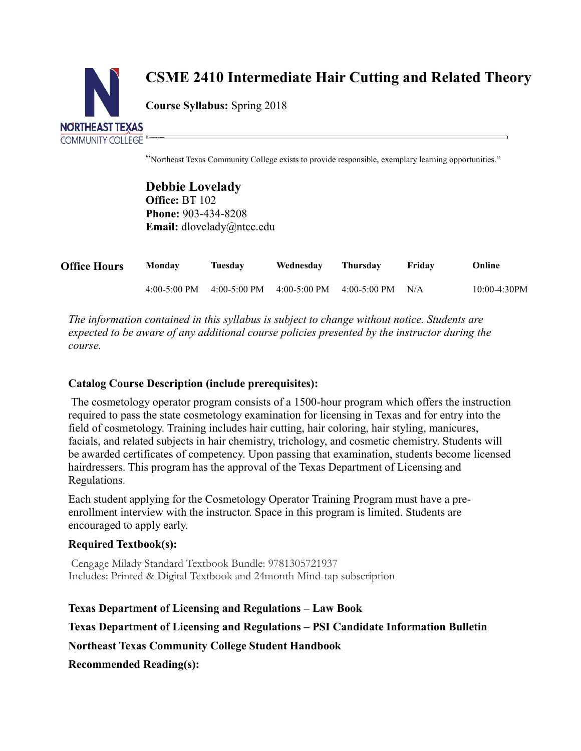

# **CSME 2410 Intermediate Hair Cutting and Related Theory**

**Course Syllabus:** Spring 2018

"Northeast Texas Community College exists to provide responsible, exemplary learning opportunities."

**Debbie Lovelady Office:** BT 102 **Phone:** 903-434-8208 **Email:** dlovelady@ntcc.edu

| <b>Office Hours</b> | <b>Monday</b> | Tuesday | Wednesday                                                       | Thursdav | Fridav | Online         |
|---------------------|---------------|---------|-----------------------------------------------------------------|----------|--------|----------------|
|                     |               |         | 4:00-5:00 PM $4:00-5:00$ PM $4:00-5:00$ PM $4:00-5:00$ PM $N/A$ |          |        | $10:00-4:30PM$ |

*The information contained in this syllabus is subject to change without notice. Students are expected to be aware of any additional course policies presented by the instructor during the course.*

# **Catalog Course Description (include prerequisites):**

The cosmetology operator program consists of a 1500-hour program which offers the instruction required to pass the state cosmetology examination for licensing in Texas and for entry into the field of cosmetology. Training includes hair cutting, hair coloring, hair styling, manicures, facials, and related subjects in hair chemistry, trichology, and cosmetic chemistry. Students will be awarded certificates of competency. Upon passing that examination, students become licensed hairdressers. This program has the approval of the Texas Department of Licensing and Regulations.

Each student applying for the Cosmetology Operator Training Program must have a preenrollment interview with the instructor. Space in this program is limited. Students are encouraged to apply early.

## **Required Textbook(s):**

Cengage Milady Standard Textbook Bundle: 9781305721937 Includes: Printed & Digital Textbook and 24month Mind-tap subscription

**Texas Department of Licensing and Regulations – Law Book Texas Department of Licensing and Regulations – PSI Candidate Information Bulletin Northeast Texas Community College Student Handbook Recommended Reading(s):**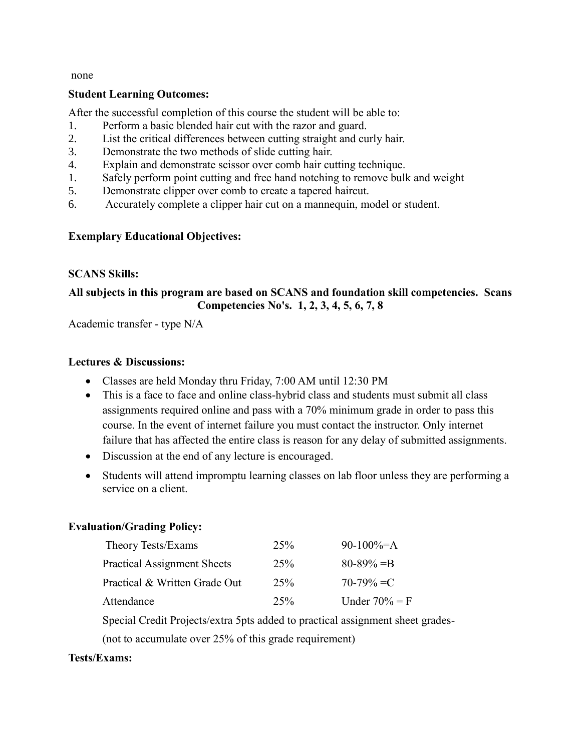none

#### **Student Learning Outcomes:**

After the successful completion of this course the student will be able to:

- 1. Perform a basic blended hair cut with the razor and guard.
- 2. List the critical differences between cutting straight and curly hair.
- 3. Demonstrate the two methods of slide cutting hair.
- 4. Explain and demonstrate scissor over comb hair cutting technique.
- 1. Safely perform point cutting and free hand notching to remove bulk and weight
- 5. Demonstrate clipper over comb to create a tapered haircut.
- 6. Accurately complete a clipper hair cut on a mannequin, model or student.

#### **Exemplary Educational Objectives:**

#### **SCANS Skills:**

## **All subjects in this program are based on SCANS and foundation skill competencies. Scans Competencies No's. 1, 2, 3, 4, 5, 6, 7, 8**

Academic transfer - type N/A

#### **Lectures & Discussions:**

- Classes are held Monday thru Friday, 7:00 AM until 12:30 PM
- This is a face to face and online class-hybrid class and students must submit all class assignments required online and pass with a 70% minimum grade in order to pass this course. In the event of internet failure you must contact the instructor. Only internet failure that has affected the entire class is reason for any delay of submitted assignments.
- Discussion at the end of any lecture is encouraged.
- Students will attend impromptu learning classes on lab floor unless they are performing a service on a client.

#### **Evaluation/Grading Policy:**

| Theory Tests/Exams                 | 25%    | 90-100%=A        |
|------------------------------------|--------|------------------|
| <b>Practical Assignment Sheets</b> | 25%    | $80 - 89\% = B$  |
| Practical & Written Grade Out      | 25%    | $70-79\% = C$    |
| Attendance                         | $25\%$ | Under $70\% = F$ |

Special Credit Projects/extra 5pts added to practical assignment sheet grades-

(not to accumulate over 25% of this grade requirement)

#### **Tests/Exams:**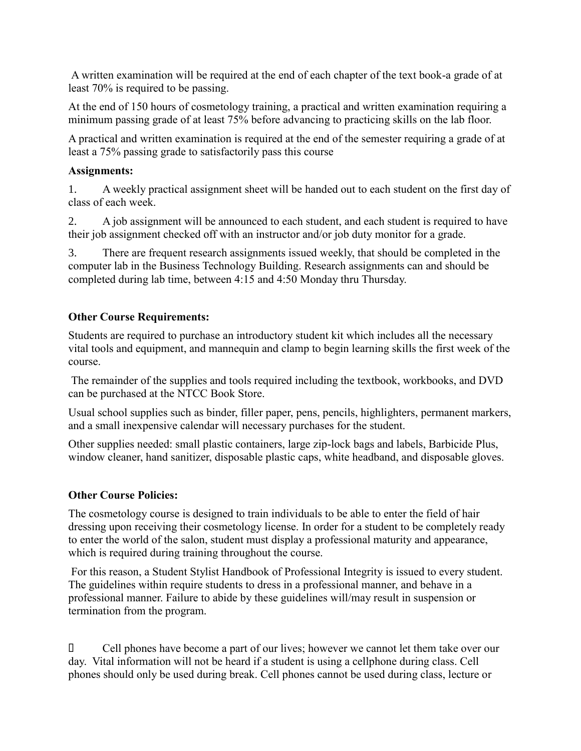A written examination will be required at the end of each chapter of the text book-a grade of at least 70% is required to be passing.

At the end of 150 hours of cosmetology training, a practical and written examination requiring a minimum passing grade of at least 75% before advancing to practicing skills on the lab floor.

A practical and written examination is required at the end of the semester requiring a grade of at least a 75% passing grade to satisfactorily pass this course

## **Assignments:**

1. A weekly practical assignment sheet will be handed out to each student on the first day of class of each week.

2. A job assignment will be announced to each student, and each student is required to have their job assignment checked off with an instructor and/or job duty monitor for a grade.

3. There are frequent research assignments issued weekly, that should be completed in the computer lab in the Business Technology Building. Research assignments can and should be completed during lab time, between 4:15 and 4:50 Monday thru Thursday.

# **Other Course Requirements:**

Students are required to purchase an introductory student kit which includes all the necessary vital tools and equipment, and mannequin and clamp to begin learning skills the first week of the course.

The remainder of the supplies and tools required including the textbook, workbooks, and DVD can be purchased at the NTCC Book Store.

Usual school supplies such as binder, filler paper, pens, pencils, highlighters, permanent markers, and a small inexpensive calendar will necessary purchases for the student.

Other supplies needed: small plastic containers, large zip-lock bags and labels, Barbicide Plus, window cleaner, hand sanitizer, disposable plastic caps, white headband, and disposable gloves.

# **Other Course Policies:**

The cosmetology course is designed to train individuals to be able to enter the field of hair dressing upon receiving their cosmetology license. In order for a student to be completely ready to enter the world of the salon, student must display a professional maturity and appearance, which is required during training throughout the course.

For this reason, a Student Stylist Handbook of Professional Integrity is issued to every student. The guidelines within require students to dress in a professional manner, and behave in a professional manner. Failure to abide by these guidelines will/may result in suspension or termination from the program.

 Cell phones have become a part of our lives; however we cannot let them take over our day. Vital information will not be heard if a student is using a cellphone during class. Cell phones should only be used during break. Cell phones cannot be used during class, lecture or